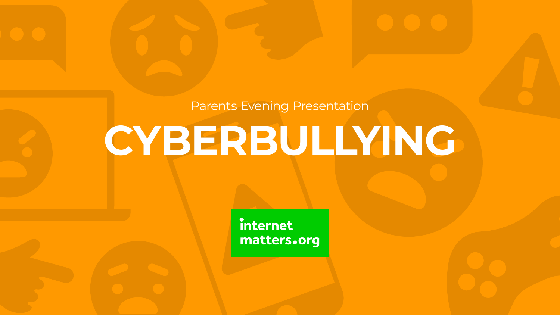# **CYBERBULLYING** Parents Evening Presentation

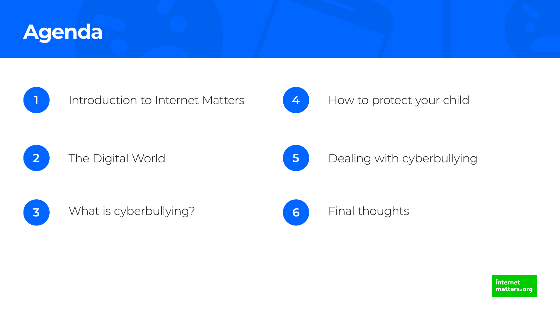





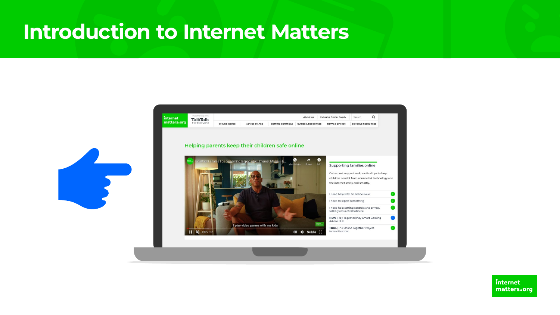## Introduction to Internet Matters

internet matters.org

**TalkTalk** For Everyone

**ONLINE ISSUES ADVICE BY AGE** 

#### Helping parents keep their children safe online





|                         | About us                      | <b>Inclusive Digital Safety</b> | Search                   |  |
|-------------------------|-------------------------------|---------------------------------|--------------------------|--|
| <b>SETTING CONTROLS</b> | <b>GUIDES &amp; RESOURCES</b> | <b>NEWS &amp; OPINION</b>       | <b>SCHOOLS RESOURCES</b> |  |

#### Supporting families online

Get expert support and practical tips to help children benefit from connected technology and the internet safely and smartly.

| I need help with an online issue                                         |  |
|--------------------------------------------------------------------------|--|
| I need to report something                                               |  |
| I need help setting controls and privacy<br>settings on a child's device |  |
| NEW   Play Together/Play Smart Gaming<br>Advice Hub                      |  |
| <b>TOOL</b> The Online Together Project<br>interactive tool              |  |

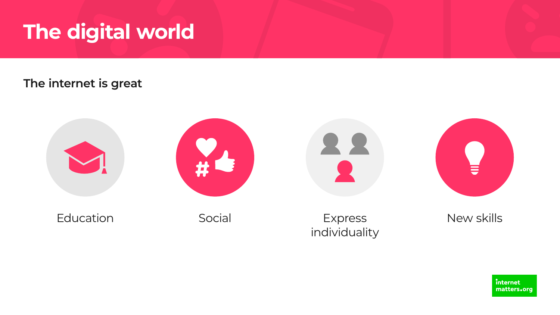## **The digital world**

## **The internet is great**











New skills

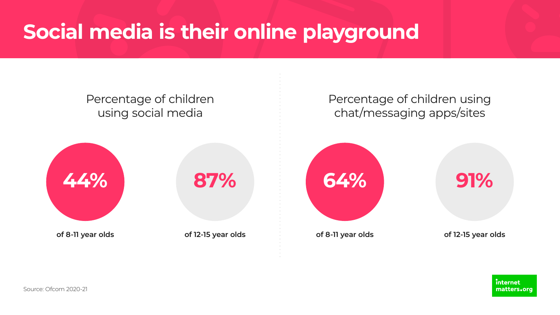# **Social media is their online playground**

**of 8-11 year olds of 12-15 year olds**



**of 8-11 year olds of 12-15 year olds**

internet matters.org





## Percentage of children using social media

## Percentage of children using chat/messaging apps/sites

Source: Ofcom 2020-21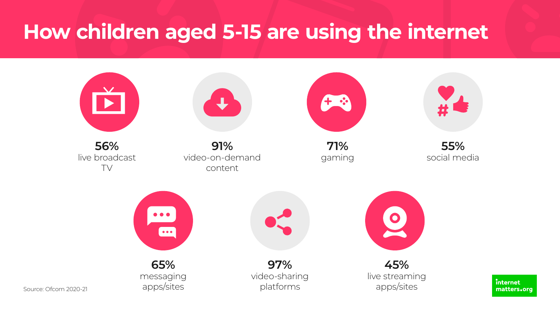## **How children aged 5-15 are using the internet**



Source: Ofcom 2020-21



**56%**  live broadcast TV

**91%**  video-on-demand content



**71%**  gaming



**65%**  messaging apps/sites

### **55%**  social media

**97%**  video-sharing platforms



**45%**  live streaming apps/sites

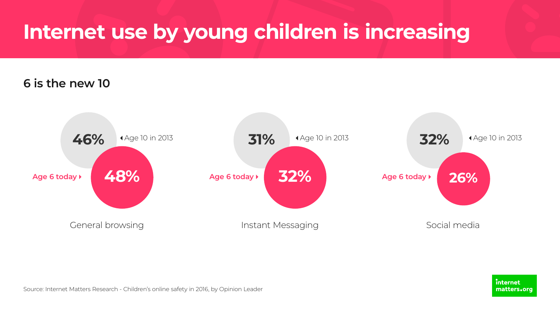# **Internet use by young children is increasing**



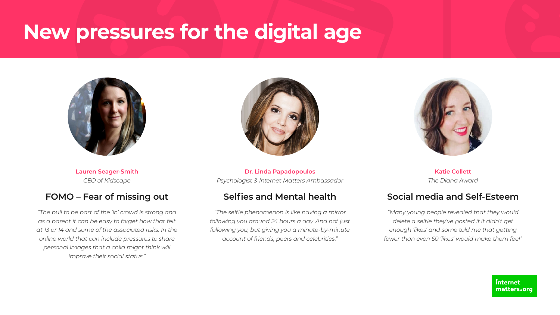# **New pressures for the digital age**



**Lauren Seager-Smith** *CEO of Kidscape*

#### **FOMO – Fear of missing out**

*"The pull to be part of the 'in' crowd is strong and as a parent it can be easy to forget how that felt at 13 or 14 and some of the associated risks. In the online world that can include pressures to share personal images that a child might think will improve their social status."*



**Dr. Linda Papadopoulos**  *Psychologist & Internet Matters Ambassador*

#### **Selfies and Mental health**

*"The selfie phenomenon is like having a mirror following you around 24 hours a day. And not just following you, but giving you a minute-by-minute account of friends, peers and celebrities."*

**Katie Collett** *The Diana Award*

#### **Social media and Self-Esteem**

*"Many young people revealed that they would delete a selfie they've posted if it didn't get enough 'likes' and some told me that getting fewer than even 50 'likes' would make them feel"*

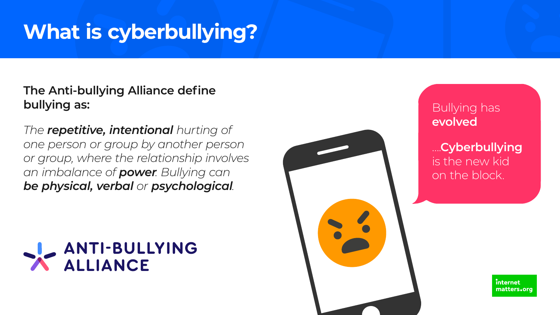# **What is cyberbullying?**

## **The Anti-bullying Alliance define bullying as:**

*The repetitive, intentional hurting of one person or group by another person or group, where the relationship involves an imbalance of power. Bullying can be physical, verbal or psychological.*



Bullying has **evolved**

….**Cyberbullying** is the new kid on the block.

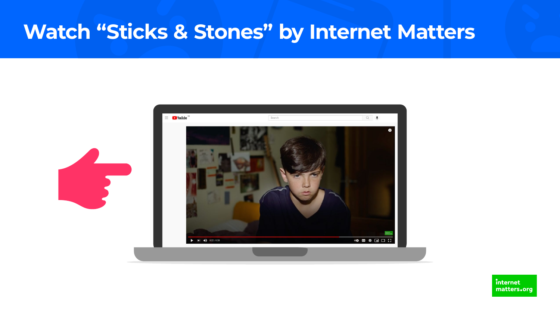## **Watch "Sticks & Stones" by Internet Matters**



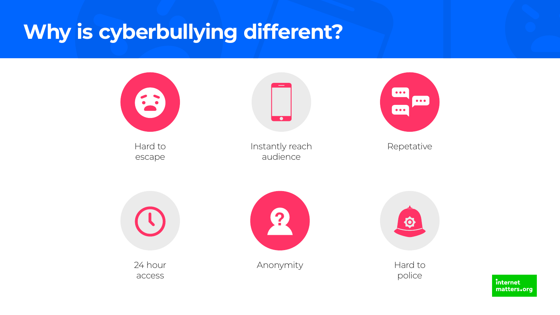# **Why is cyberbullying different?**



Hard to escape

Instantly reach audience



Repetative



Anonymity Hard to



24 hour access

 $\bullet$ 

police

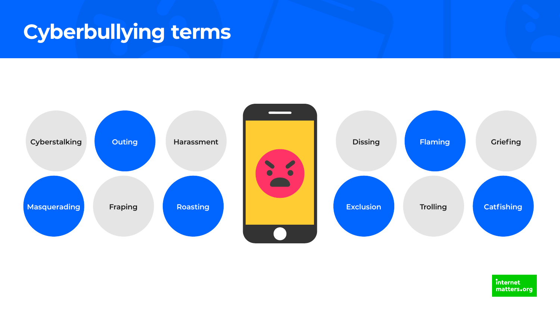## **Cyberbullying terms**







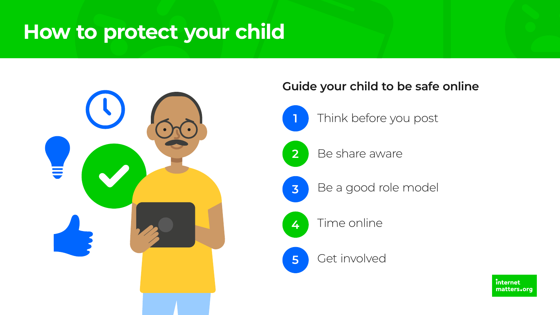## **How to protect your child**





## **Guide your child to be safe online**









5 Get involved

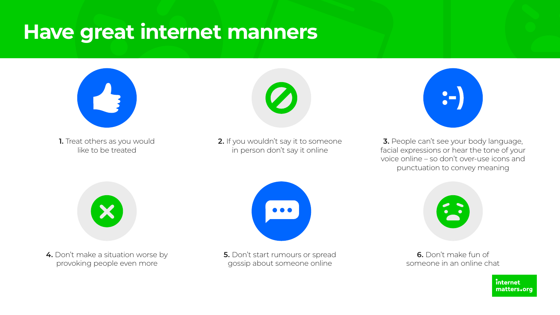## **Have great internet manners**



1. Treat others as you would like to be treated

2. If you wouldn't say it to someone in person don't say it online



**3.** People can't see your body language, facial expressions or hear the tone of your voice online – so don't over-use icons and punctuation to convey meaning





**4.** Don't make a situation worse by provoking people even more

**5.** Don't start rumours or spread gossip about someone online





**6.** Don't make fun of someone in an online chat

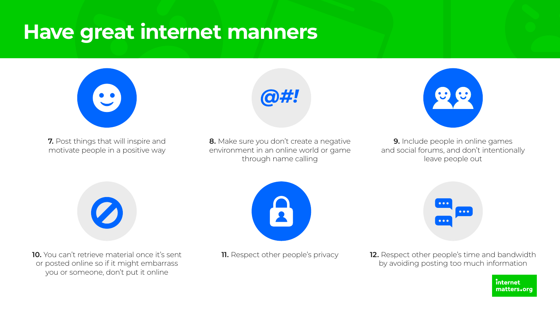## **Have great internet manners**



**7.** Post things that will inspire and motivate people in a positive way

**9.** Include people in online games and social forums, and don't intentionally leave people out





**8.** Make sure you don't create a negative environment in an online world or game through name calling



**10.** You can't retrieve material once it's sent or posted online so if it might embarrass you or someone, don't put it online





**11.** Respect other people's privacy **12.** Respect other people's time and bandwidth by avoiding posting too much information



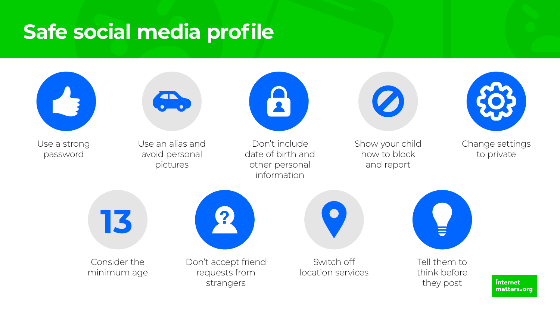## **Safe social media profile**



Use a strong password



Use an alias and avoid personal pictures

Don't include date of birth and other personal information

13

Change settings to private



Show your child how to block and report



Consider the minimum age



Don't accept friend requests from strangers







Tell them to think before they post

internet matters.org



Switch off location services

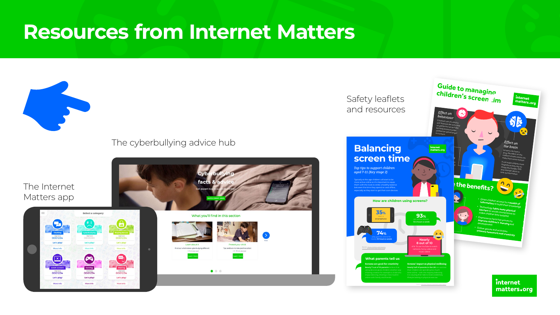

*Source: Internet Matters Look both ways report*



## **Resources from Internet Matters**



#### [The cyberbullying advice hub](https://www.internetmatters.org/issues/cyberbullying/)

#### [The Internet](https://www.internetmatters.org/hub/esafety-news/new-e-safety-app-for-parents-and-children/)  Matters app

0001234

Let's play

Adult Content

0001234

Let's play!

More info

**Select a category** 

Let's play

 $\overline{\phantom{0}}$ 

**Caming** 

0001234

Let's play!

More info

000123

Let's play

 $x$ <sub>x</sub>

0001234

Let's play!

More info

Sharing







 $0.5 - 10$  minutes read

 $\bullet$   $\circ$   $\circ$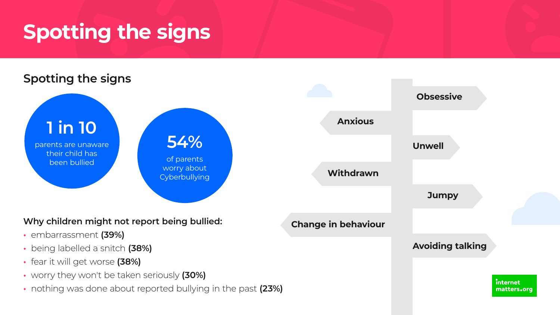# **Spotting the signs**

## **Spotting the signs**

## **1 in 10**

of parents worry about **Cyberbullying** 

parents are unaware their child has been bullied

## **54%**

#### **Why children might not report being bullied:**

- embarrassment **(39%)**
- being labelled a snitch **(38%)**
- fear it will get worse **(38%)**
- worry they won't be taken seriously **(30%)**
- nothing was done about reported bullying in the past **(23%)**





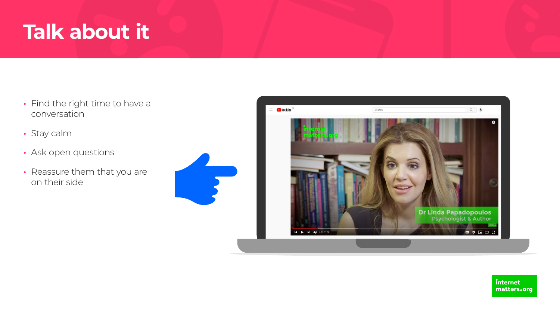## **Talk about it**

- Find the right time to have a conversation
- Stay calm
- Ask open questions
- Reassure them that you are on their side







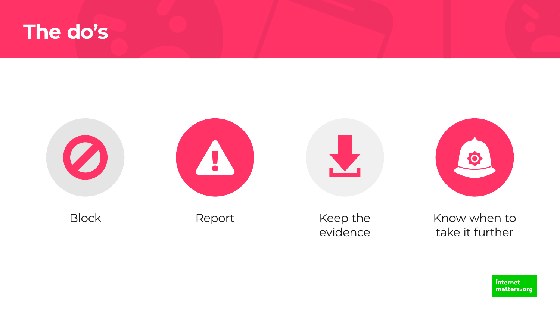









### Block Report Keep the evidence

### Know when to take it further

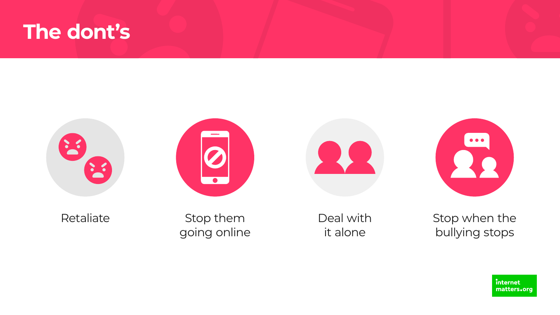## **The dont's**





Retaliate Stop them going online





### Deal with it alone

### Stop when the bullying stops

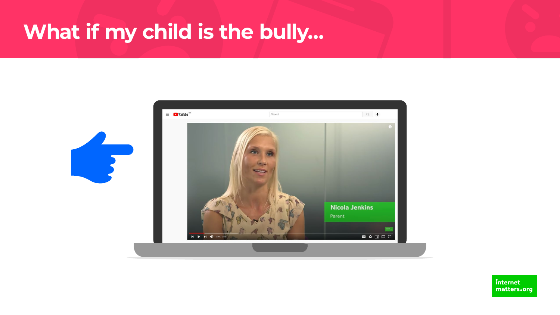## What if my child is the bully...



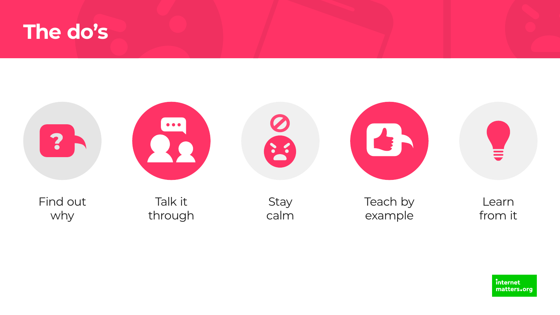





## Find out why

Talk it through







**Stay** calm Teach by example

Learn from it

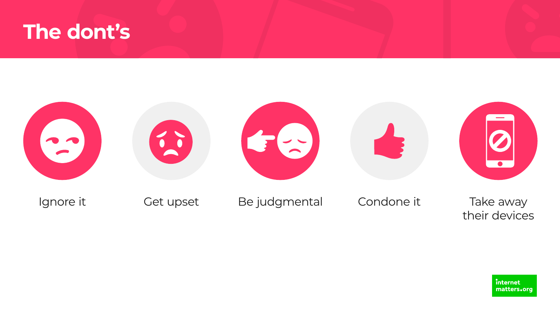## The dont's



### Ignore it

### Get upset



## Be judgmental

## Condone it

### Take away their devices

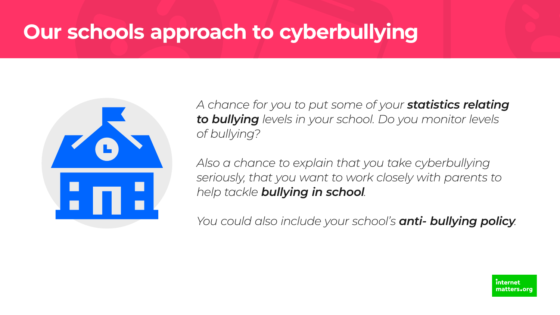# **Our schools approach to cyberbullying**



*A chance for you to put some of your statistics relating to bullying levels in your school. Do you monitor levels of bullying?*

*Also a chance to explain that you take cyberbullying seriously, that you want to work closely with parents to help tackle bullying in school.* 

*You could also include your school's anti- bullying policy.*

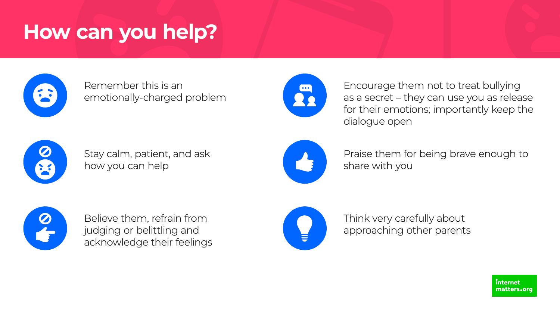## **How can you help?**



### Remember this is an emotionally-charged problem



Stay calm, patient, and ask how you can help



Believe them, refrain from judging or belittling and acknowledge their feelings



Encourage them not to treat bullying as a secret – they can use you as release for their emotions; importantly keep the dialogue open



Praise them for being brave enough to share with you



Think very carefully about approaching other parents





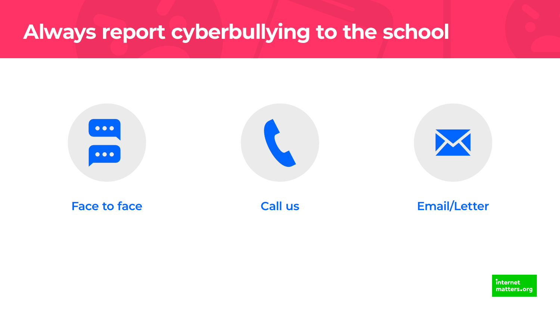## **Always report cyberbullying to the school**









**Face to face Call us Email/Letter**

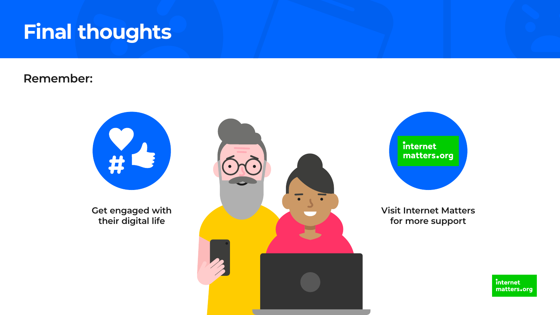## **Final thoughts**

### **Remember:**



**Get engaged with their digital life**



## internet matters.org

**Visit Internet Matters for more support**